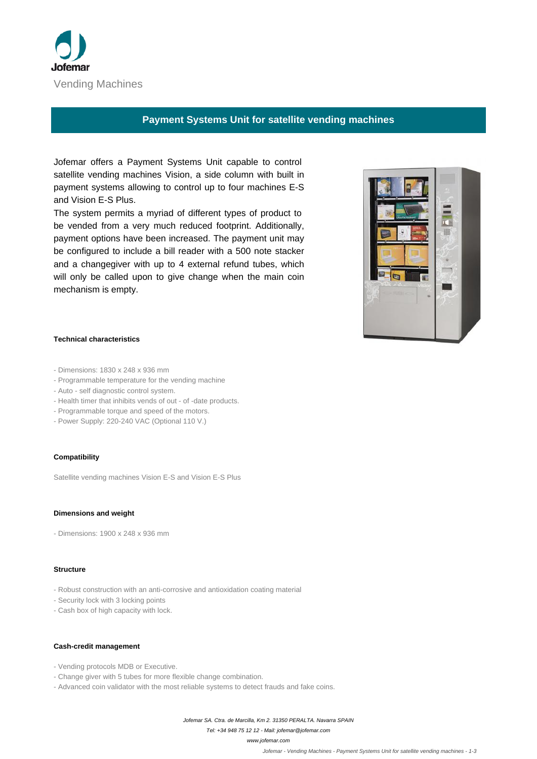

# **Payment Systems Unit for satellite vending machines**

 Jofemar offers a Payment Systems Unit capable to control satellite vending machines Vision, a side column with built in payment systems allowing to control up to four machines E-S and Vision E-S Plus.

 The system permits a myriad of different types of product to be vended from a very much reduced footprint. Additionally, payment options have been increased. The payment unit may be configured to include a bill reader with a 500 note stacker and a changegiver with up to 4 external refund tubes, which will only be called upon to give change when the main coin mechanism is empty.



## **Technical characteristics**

- - Dimensions: 1830 x 248 x 936 mm
- - Programmable temperature for the vending machine
- - Auto self diagnostic control system.
- - Health timer that inhibits vends of out of -date products.
- - Programmable torque and speed of the motors.
- - Power Supply: 220-240 VAC (Optional 110 V.)

## **Compatibility**

 Satellite vending machines Vision E-S and Vision E-S Plus

#### **Dimensions and weight**

 - Dimensions: 1900 x 248 x 936 mm

#### **Structure**

- - Robust construction with an anti-corrosive and antioxidation coating material
- - Security lock with 3 locking points
- - Cash box of high capacity with lock.

#### **Cash-credit management**

- - Vending protocols MDB or Executive.
- - Change giver with 5 tubes for more flexible change combination.
- - Advanced coin validator with the most reliable systems to detect frauds and fake coins.

Jofemar SA. Ctra. de Marcilla, Km 2. 31350 PERALTA. Navarra SPAIN

Tel: +34 948 75 12 12 - Mail: jofemar@jofemar.com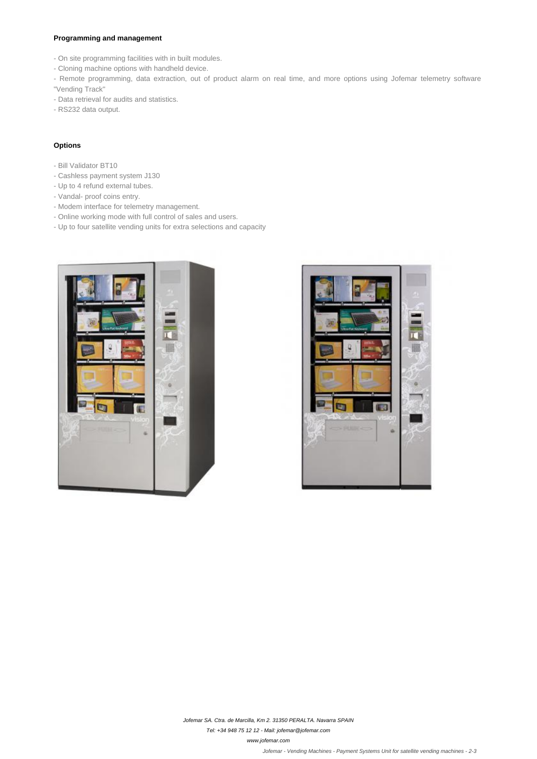## **Programming and management**

- - On site programming facilities with in built modules.
- - Cloning machine options with handheld device.
- - Remote programming, data extraction, out of product alarm on real time, and more options using Jofemar telemetry software "Vending Track"
- - Data retrieval for audits and statistics.
- - RS232 data output.

# **Options**

- - Bill Validator BT10
- - Cashless payment system J130
- - Up to 4 refund external tubes.
- - Vandal- proof coins entry.
- - Modem interface for telemetry management.
- - Online working mode with full control of sales and users.
- - Up to four satellite vending units for extra selections and capacity





Jofemar SA. Ctra. de Marcilla, Km 2. 31350 PERALTA. Navarra SPAIN

Tel: +34 948 75 12 12 - Mail: jofemar@jofemar.com

www.jofemar.com